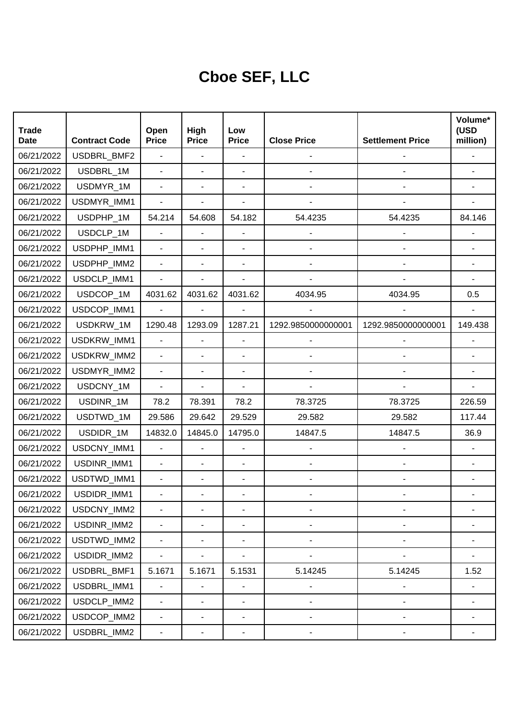## **Cboe SEF, LLC**

| <b>Trade</b><br><b>Date</b> | <b>Contract Code</b> | Open<br><b>Price</b>     | High<br><b>Price</b>     | Low<br><b>Price</b>      | <b>Close Price</b>       | <b>Settlement Price</b> | Volume*<br>(USD<br>million) |
|-----------------------------|----------------------|--------------------------|--------------------------|--------------------------|--------------------------|-------------------------|-----------------------------|
| 06/21/2022                  | USDBRL_BMF2          | $\overline{\phantom{0}}$ | $\overline{\phantom{a}}$ |                          |                          |                         |                             |
| 06/21/2022                  | USDBRL 1M            | L,                       | ÷,                       |                          |                          |                         |                             |
| 06/21/2022                  | USDMYR_1M            | $\blacksquare$           | ÷,                       |                          |                          |                         |                             |
| 06/21/2022                  | USDMYR_IMM1          |                          | ÷,                       |                          |                          |                         |                             |
| 06/21/2022                  | USDPHP_1M            | 54.214                   | 54.608                   | 54.182                   | 54.4235                  | 54.4235                 | 84.146                      |
| 06/21/2022                  | USDCLP 1M            |                          | ÷,                       |                          |                          |                         |                             |
| 06/21/2022                  | USDPHP_IMM1          | $\blacksquare$           | ÷,                       |                          |                          |                         |                             |
| 06/21/2022                  | USDPHP_IMM2          |                          | ÷,                       |                          |                          |                         |                             |
| 06/21/2022                  | USDCLP_IMM1          | $\blacksquare$           | ÷,                       |                          |                          |                         |                             |
| 06/21/2022                  | USDCOP_1M            | 4031.62                  | 4031.62                  | 4031.62                  | 4034.95                  | 4034.95                 | 0.5                         |
| 06/21/2022                  | USDCOP_IMM1          | $\mathbf{r}$             | $\blacksquare$           |                          |                          |                         |                             |
| 06/21/2022                  | USDKRW 1M            | 1290.48                  | 1293.09                  | 1287.21                  | 1292.9850000000001       | 1292.9850000000001      | 149.438                     |
| 06/21/2022                  | USDKRW_IMM1          | $\blacksquare$           | ä,                       |                          |                          |                         |                             |
| 06/21/2022                  | USDKRW_IMM2          | $\overline{\phantom{0}}$ | ÷,                       |                          |                          |                         |                             |
| 06/21/2022                  | USDMYR_IMM2          | $\blacksquare$           | $\overline{\phantom{a}}$ |                          |                          |                         |                             |
| 06/21/2022                  | USDCNY_1M            | $\overline{\phantom{a}}$ | ÷,                       |                          |                          |                         |                             |
| 06/21/2022                  | USDINR_1M            | 78.2                     | 78.391                   | 78.2                     | 78.3725                  | 78.3725                 | 226.59                      |
| 06/21/2022                  | USDTWD_1M            | 29.586                   | 29.642                   | 29.529                   | 29.582                   | 29.582                  | 117.44                      |
| 06/21/2022                  | USDIDR_1M            | 14832.0                  | 14845.0                  | 14795.0                  | 14847.5                  | 14847.5                 | 36.9                        |
| 06/21/2022                  | USDCNY_IMM1          | $\overline{\phantom{0}}$ | $\overline{\phantom{a}}$ |                          |                          |                         |                             |
| 06/21/2022                  | USDINR_IMM1          | $\overline{\phantom{a}}$ | ÷,                       |                          |                          |                         |                             |
| 06/21/2022                  | USDTWD_IMM1          | $\blacksquare$           | ÷,                       | $\overline{\phantom{a}}$ |                          |                         |                             |
| 06/21/2022                  | USDIDR_IMM1          |                          |                          |                          |                          |                         |                             |
| 06/21/2022                  | USDCNY_IMM2          | $\frac{1}{2}$            | ٠                        |                          | -                        |                         |                             |
| 06/21/2022                  | USDINR_IMM2          | $\blacksquare$           | ÷,                       | $\overline{\phantom{a}}$ |                          |                         |                             |
| 06/21/2022                  | USDTWD_IMM2          | $\blacksquare$           | $\blacksquare$           |                          | -                        |                         |                             |
| 06/21/2022                  | USDIDR_IMM2          | $\overline{\phantom{a}}$ | ٠                        | $\overline{\phantom{a}}$ | $\overline{\phantom{0}}$ |                         |                             |
| 06/21/2022                  | USDBRL_BMF1          | 5.1671                   | 5.1671                   | 5.1531                   | 5.14245                  | 5.14245                 | 1.52                        |
| 06/21/2022                  | USDBRL_IMM1          | $\blacksquare$           | ÷                        | $\blacksquare$           | $\overline{\phantom{0}}$ |                         |                             |
| 06/21/2022                  | USDCLP_IMM2          | $\blacksquare$           | $\overline{a}$           | $\overline{\phantom{a}}$ | -                        |                         |                             |
| 06/21/2022                  | USDCOP_IMM2          | $\blacksquare$           | ٠                        | $\overline{\phantom{a}}$ | -                        |                         |                             |
| 06/21/2022                  | USDBRL_IMM2          | $\blacksquare$           | ٠                        |                          |                          |                         |                             |